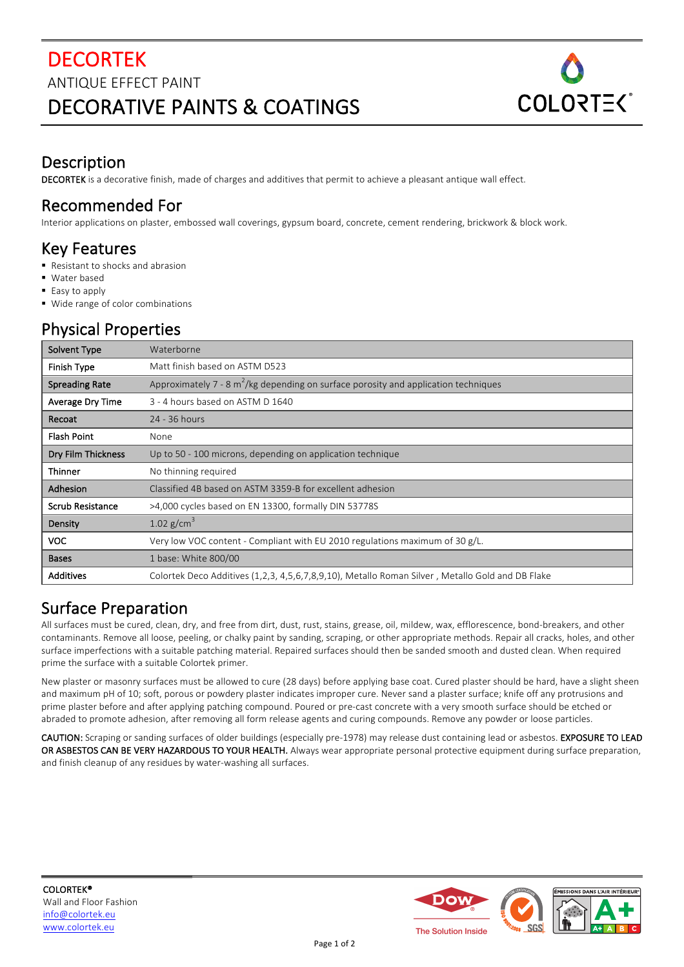

#### Description

DECORTEK is a decorative finish, made of charges and additives that permit to achieve a pleasant antique wall effect.

#### Recommended For

Interior applications on plaster, embossed wall coverings, gypsum board, concrete, cement rendering, brickwork & block work.

### Key Features

- Resistant to shocks and abrasion
- Water based
- Easy to apply
- Wide range of color combinations

# Physical Properties

| Solvent Type          | Waterborne                                                                                       |  |
|-----------------------|--------------------------------------------------------------------------------------------------|--|
| Finish Type           | Matt finish based on ASTM D523                                                                   |  |
| <b>Spreading Rate</b> | Approximately 7 - 8 $m^2$ /kg depending on surface porosity and application techniques           |  |
| Average Dry Time      | 3 - 4 hours based on ASTM D 1640                                                                 |  |
| Recoat                | 24 - 36 hours                                                                                    |  |
| <b>Flash Point</b>    | None                                                                                             |  |
| Dry Film Thickness    | Up to 50 - 100 microns, depending on application technique                                       |  |
| <b>Thinner</b>        | No thinning required                                                                             |  |
| Adhesion              | Classified 4B based on ASTM 3359-B for excellent adhesion                                        |  |
| Scrub Resistance      | >4,000 cycles based on EN 13300, formally DIN 53778S                                             |  |
| Density               | 1.02 $g/cm^3$                                                                                    |  |
| <b>VOC</b>            | Very low VOC content - Compliant with EU 2010 regulations maximum of 30 g/L.                     |  |
| <b>Bases</b>          | 1 base: White 800/00                                                                             |  |
| <b>Additives</b>      | Colortek Deco Additives (1,2,3, 4,5,6,7,8,9,10), Metallo Roman Silver, Metallo Gold and DB Flake |  |

### Surface Preparation

All surfaces must be cured, clean, dry, and free from dirt, dust, rust, stains, grease, oil, mildew, wax, efflorescence, bond-breakers, and other contaminants. Remove all loose, peeling, or chalky paint by sanding, scraping, or other appropriate methods. Repair all cracks, holes, and other surface imperfections with a suitable patching material. Repaired surfaces should then be sanded smooth and dusted clean. When required prime the surface with a suitable Colortek primer.

New plaster or masonry surfaces must be allowed to cure (28 days) before applying base coat. Cured plaster should be hard, have a slight sheen and maximum pH of 10; soft, porous or powdery plaster indicates improper cure. Never sand a plaster surface; knife off any protrusions and prime plaster before and after applying patching compound. Poured or pre-cast concrete with a very smooth surface should be etched or abraded to promote adhesion, after removing all form release agents and curing compounds. Remove any powder or loose particles.

CAUTION: Scraping or sanding surfaces of older buildings (especially pre-1978) may release dust containing lead or asbestos. EXPOSURE TO LEAD OR ASBESTOS CAN BE VERY HAZARDOUS TO YOUR HEALTH. Always wear appropriate personal protective equipment during surface preparation, and finish cleanup of any residues by water-washing all surfaces.